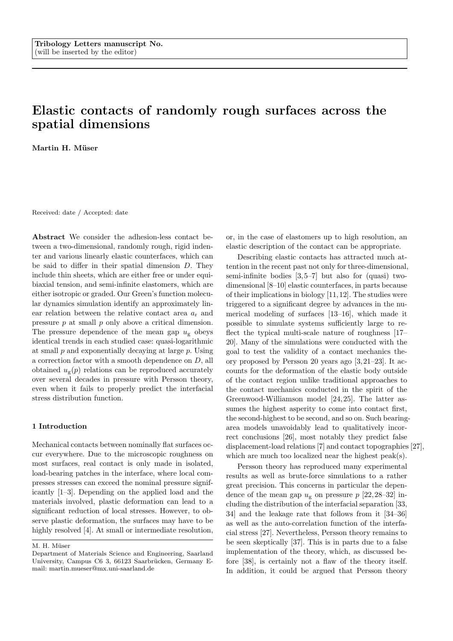# Elastic contacts of randomly rough surfaces across the spatial dimensions

Martin H. Müser

Received: date / Accepted: date

Abstract We consider the adhesion-less contact between a two-dimensional, randomly rough, rigid indenter and various linearly elastic counterfaces, which can be said to differ in their spatial dimension D. They include thin sheets, which are either free or under equibiaxial tension, and semi-infinite elastomers, which are either isotropic or graded. Our Green's function molecular dynamics simulation identify an approximately linear relation between the relative contact area  $a_r$  and pressure p at small p only above a critical dimension. The pressure dependence of the mean gap  $u_g$  obeys identical trends in each studied case: quasi-logarithmic at small  $p$  and exponentially decaying at large  $p$ . Using a correction factor with a smooth dependence on D, all obtained  $u_{\mathcal{g}}(p)$  relations can be reproduced accurately over several decades in pressure with Persson theory, even when it fails to properly predict the interfacial stress distribution function.

#### 1 Introduction

Mechanical contacts between nominally flat surfaces occur everywhere. Due to the microscopic roughness on most surfaces, real contact is only made in isolated, load-bearing patches in the interface, where local compresses stresses can exceed the nominal pressure significantly [1–3]. Depending on the applied load and the materials involved, plastic deformation can lead to a significant reduction of local stresses. However, to observe plastic deformation, the surfaces may have to be highly resolved [4]. At small or intermediate resolution,

M. H. Müser

or, in the case of elastomers up to high resolution, an elastic description of the contact can be appropriate.

Describing elastic contacts has attracted much attention in the recent past not only for three-dimensional, semi-infinite bodies  $[3, 5-7]$  but also for (quasi) twodimensional [8–10] elastic counterfaces, in parts because of their implications in biology [11, 12]. The studies were triggered to a significant degree by advances in the numerical modeling of surfaces [13–16], which made it possible to simulate systems sufficiently large to reflect the typical multi-scale nature of roughness [17– 20]. Many of the simulations were conducted with the goal to test the validity of a contact mechanics theory proposed by Persson 20 years ago [3, 21–23]. It accounts for the deformation of the elastic body outside of the contact region unlike traditional approaches to the contact mechanics conducted in the spirit of the Greenwood-Williamson model [24, 25]. The latter assumes the highest asperity to come into contact first, the second-highest to be second, and so on. Such bearingarea models unavoidably lead to qualitatively incorrect conclusions [26], most notably they predict false displacement-load relations [7] and contact topographies [27], which are much too localized near the highest peak(s).

Persson theory has reproduced many experimental results as well as brute-force simulations to a rather great precision. This concerns in particular the dependence of the mean gap  $u_{\rm g}$  on pressure  $p$  [22, 28–32] including the distribution of the interfacial separation [33, 34] and the leakage rate that follows from it [34–36] as well as the auto-correlation function of the interfacial stress [27]. Nevertheless, Persson theory remains to be seen skeptically [37]. This is in parts due to a false implementation of the theory, which, as discussed before [38], is certainly not a flaw of the theory itself. In addition, it could be argued that Persson theory

Department of Materials Science and Engineering, Saarland University, Campus C6 3, 66123 Saarbrücken, Germany Email: martin.mueser@mx.uni-saarland.de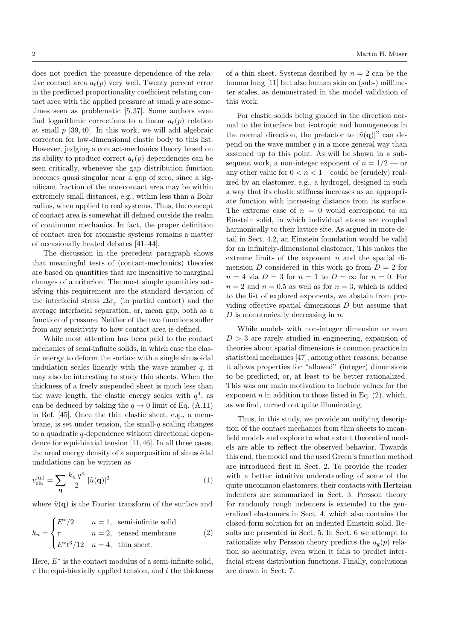does not predict the pressure dependence of the relative contact area  $a_r(p)$  very well. Twenty percent error in the predicted proportionality coefficient relating contact area with the applied pressure at small p are sometimes seen as problematic [5, 37]. Some authors even find logarithmic corrections to a linear  $a_r(p)$  relation at small  $p$  [39, 40]. In this work, we will add algebraic correcton for low-dimensional elastic body to this list. However, judging a contact-mechanics theory based on its ability to produce correct  $a_r(p)$  dependencies can be seen critically, whenever the gap distribution function becomes quasi singular near a gap of zero, since a significant fraction of the non-contact area may be within extremely small distances, e.g., within less than a Bohr radius, when applied to real systems. Thus, the concept of contact area is somewhat ill defined outside the realm of continuum mechanics. In fact, the proper definition of contact area for atomistic systems remains a matter of occasionally heated debates [41–44].

The discussion in the precedent paragraph shows that meaningful tests of (contact-mechanics) theories are based on quantities that are insensitive to marginal changes of a criterion. The most simple quantities satisfying this requirement are the standard deviation of the interfacial stress  $\Delta \sigma_{\rm p}$  (in partial contact) and the average interfacial separation, or, mean gap, both as a function of pressure. Neither of the two functions suffer from any sensitivity to how contact area is defined.

While most attention has been paid to the contact mechanics of semi-infinite solids, in which case the elastic energy to deform the surface with a single sinusoidal undulation scales linearly with the wave number  $q$ , it may also be interesting to study thin sheets. When the thickness of a freely suspended sheet is much less than the wave length, the elastic energy scales with  $q^4$ , as can be deduced by taking the  $q \to 0$  limit of Eq. (A.11) in Ref. [45]. Once the thin elastic sheet, e.g., a membrane, is set under tension, the small- $q$  scaling changes to a quadratic q-dependence without directional dependence for equi-biaxial tension [11, 46]. In all three cases, the areal energy density of a superposition of sinusoidal undulations can be written as

$$
v_{\text{ela}}^{\text{full}} = \sum_{\mathbf{q}} \frac{k_n \, q^n}{2} \, |\tilde{u}(\mathbf{q})|^2 \tag{1}
$$

where  $\tilde{u}(\mathbf{q})$  is the Fourier transform of the surface and

$$
k_n = \begin{cases} E^*/2 & n = 1, \text{ semi-infinite solid} \\ \tau & n = 2, \text{ tensed membrane} \\ E^*t^3/12 & n = 4, \text{ thin sheet.} \end{cases}
$$
 (2)

Here,  $E^*$  is the contact modulus of a semi-infinite solid,  $\tau$  the equi-biaxially applied tension, and t the thickness of a thin sheet. Systems desribed by  $n = 2$  can be the human lung [11] but also human skin on (sub-) millimeter scales, as demonstrated in the model validation of this work.

For elastic solids being graded in the direction normal to the interface but isotropic and homogeneous in the normal direction, the prefactor to  $|\tilde{u}(\mathbf{q})|^2$  can depend on the wave number  $q$  in a more general way than assumed up to this point. As will be shown in a subsequent work, a non-integer exponent of  $n = 1/2$  — or any other value for  $0 < n < 1$  – could be (crudely) realized by an elastomer, e.g., a hydrogel, designed in such a way that its elastic stiffness increases as an appropriate function with increasing distance from its surface. The extreme case of  $n = 0$  would correspond to an Einstein solid, in which individual atoms are coupled harmonically to their lattice site. As argued in more detail in Sect. 4.2, an Einstein foundation would be valid for an infinitely-dimensional elastomer. This makes the extreme limits of the exponent  $n$  and the spatial dimension D considered in this work go from  $D = 2$  for  $n = 4$  via  $D = 3$  for  $n = 1$  to  $D = \infty$  for  $n = 0$ . For  $n = 2$  and  $n = 0.5$  as well as for  $n = 3$ , which is added to the list of explored exponents, we abstain from providing effective spatial dimensions  $D$  but assume that  $D$  is monotonically decreasing in  $n$ .

While models with non-integer dimension or even  $D > 3$  are rarely studied in engineering, expansion of theories about spatial dimensions is common practice in statistical mechanics [47], among other reasons, because it allows properties for "allowed" (integer) dimensions to be predicted, or, at least to be better rationalized. This was our main motivation to include values for the exponent  $n$  in addition to those listed in Eq.  $(2)$ , which, as we find, turned out quite illuminating.

Thus, in this study, we provide an unifying description of the contact mechanics from thin sheets to meanfield models and explore to what extent theoretical models are able to reflect the observed behavior. Towards this end, the model and the used Green's function method are introduced first in Sect. 2. To provide the reader with a better intuitive understanding of some of the quite uncommon elastomers, their contacts with Hertzian indenters are summarized in Sect. 3. Persson theory for randomly rough indenters is extended to the generalized elastomers in Sect. 4, which also contains the closed-form solution for an indented Einstein solid. Results are presented in Sect. 5. In Sect. 6 we attempt to rationalize why Persson theory predicts the  $u_{\varphi}(p)$  relation so accurately, even when it fails to predict interfacial stress distribution functions. Finally, conclusions are drawn in Sect. 7.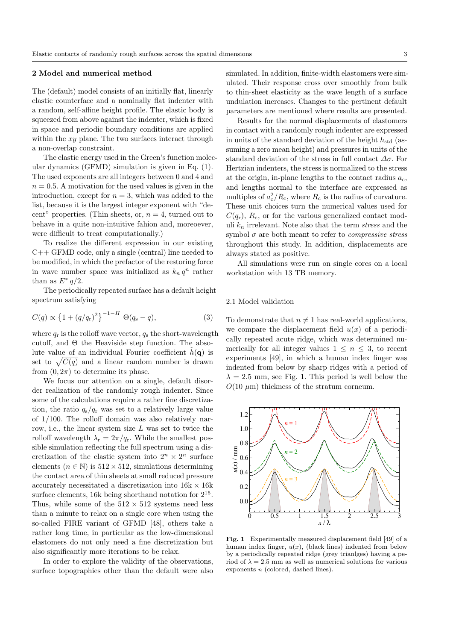## 2 Model and numerical method

The (default) model consists of an initially flat, linearly elastic counterface and a nominally flat indenter with a random, self-affine height profile. The elastic body is squeezed from above against the indenter, which is fixed in space and periodic boundary conditions are applied within the xy plane. The two surfaces interact through a non-overlap constraint.

The elastic energy used in the Green's function molecular dynamics (GFMD) simulation is given in Eq. (1). The used exponents are all integers between 0 and 4 and  $n = 0.5$ . A motivation for the used values is given in the introduction, except for  $n = 3$ , which was added to the list, because it is the largest integer exponent with "decent" properties. (Thin sheets, or,  $n = 4$ , turned out to behave in a quite non-intuitive fahion and, moreoever, were difficult to treat computationally.)

To realize the different expression in our existing  $C++$  GFMD code, only a single (central) line needed to be modified, in which the prefactor of the restoring force in wave number space was initialized as  $k_n q^n$  rather than as  $E^* q/2$ .

The periodically repeated surface has a default height spectrum satisfying

$$
C(q) \propto \left\{1 + (q/q_{\rm r})^2\right\}^{-1-H} \Theta(q_{\rm s} - q),\tag{3}
$$

where  $q_r$  is the rolloff wave vector,  $q_s$  the short-wavelength cutoff, and  $\Theta$  the Heaviside step function. The absolute value of an individual Fourier coefficient  $\hat{h}(\mathbf{q})$  is set to  $\sqrt{C(q)}$  and a linear random number is drawn from  $(0, 2\pi)$  to determine its phase.

We focus our attention on a single, default disorder realization of the randomly rough indenter. Since some of the calculations require a rather fine discretization, the ratio  $q_s/q_r$  was set to a relatively large value of 1/100. The rolloff domain was also relatively narrow, i.e., the linear system size  $L$  was set to twice the rolloff wavelength  $\lambda_r = 2\pi/q_r$ . While the smallest possible simulation reflecting the full spectrum using a discretization of the elastic system into  $2^n \times 2^n$  surface elements ( $n \in \mathbb{N}$ ) is 512 × 512, simulations determining the contact area of thin sheets at small reduced pressure accurately necessitated a discretization into  $16k \times 16k$ surface elements, 16k being shorthand notation for  $2^{15}$ . Thus, while some of the  $512 \times 512$  systems need less than a minute to relax on a single core when using the so-called FIRE variant of GFMD [48], others take a rather long time, in particular as the low-dimensional elastomers do not only need a fine discretization but also significantly more iterations to be relax.

In order to explore the validity of the observations, surface topographies other than the default were also simulated. In addition, finite-width elastomers were simulated. Their response cross over smoothly from bulk to thin-sheet elasticity as the wave length of a surface undulation increases. Changes to the pertinent default parameters are mentioned where results are presented.

Results for the normal displacements of elastomers in contact with a randomly rough indenter are expressed in units of the standard deviation of the height  $h_{\text{std}}$  (assuming a zero mean height) and pressures in units of the standard deviation of the stress in full contact  $\Delta \sigma$ . For Hertzian indenters, the stress is normalized to the stress at the origin, in-plane lengths to the contact radius  $a_c$ , and lengths normal to the interface are expressed as multiples of  $a_c^2/R_c$ , where  $R_c$  is the radius of curvature. These unit choices turn the numerical values used for  $C(q_r)$ ,  $R_c$ , or for the various generalized contact moduli  $k_n$  irrelevant. Note also that the term *stress* and the symbol  $\sigma$  are both meant to refer to *compressive stress* throughout this study. In addition, displacements are always stated as positive.

All simulations were run on single cores on a local workstation with 13 TB memory.

## 2.1 Model validation

To demonstrate that  $n \neq 1$  has real-world applications, we compare the displacement field  $u(x)$  of a periodically repeated acute ridge, which was determined numerically for all integer values  $1 \leq n \leq 3$ , to recent experiments [49], in which a human index finger was indented from below by sharp ridges with a period of  $\lambda = 2.5$  mm, see Fig. 1. This period is well below the  $O(10 \mu m)$  thickness of the stratum corneum.



Fig. 1 Experimentally measured displacement field [49] of a human index finger,  $u(x)$ , (black lines) indented from below by a periodically repeated ridge (grey trianlges) having a period of  $\lambda = 2.5$  mm as well as numerical solutions for various exponents n (colored, dashed lines).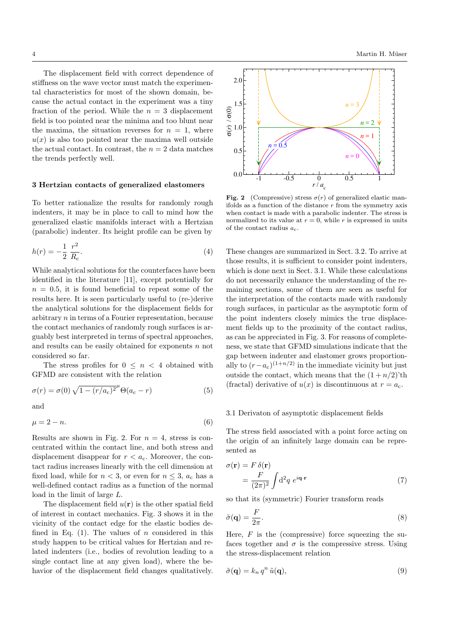The displacement field with correct dependence of stiffness on the wave vector must match the experimental characteristics for most of the shown domain, because the actual contact in the experiment was a tiny fraction of the period. While the  $n = 3$  displacement field is too pointed near the minima and too blunt near the maxima, the situation reverses for  $n = 1$ , where  $u(x)$  is also too pointed near the maxima well outside the actual contact. In contrast, the  $n = 2$  data matches the trends perfectly well.

#### 3 Hertzian contacts of generalized elastomers

To better rationalize the results for randomly rough indenters, it may be in place to call to mind how the generalized elastic manifolds interact with a Hertzian (parabolic) indenter. Its height profile can be given by

$$
h(r) = -\frac{1}{2} \frac{r^2}{R_c}.
$$
\n(4)

While analytical solutions for the counterfaces have been identified in the literature [11], except potentially for  $n = 0.5$ , it is found beneficial to repeat some of the results here. It is seen particularly useful to (re-)derive the analytical solutions for the displacement fields for arbitrary n in terms of a Fourier representation, because the contact mechanics of randomly rough surfaces is arguably best interpreted in terms of spectral approaches, and results can be easily obtained for exponents  $n$  not considered so far.

The stress profiles for  $0 \leq n \leq 4$  obtained with GFMD are consistent with the relation

$$
\sigma(r) = \sigma(0)\sqrt{1 - (r/a_c)^2}^{\mu}\Theta(a_c - r)
$$
\n(5)

and

$$
\mu = 2 - n.\tag{6}
$$

Results are shown in Fig. 2. For  $n = 4$ , stress is concentrated within the contact line, and both stress and displacement disappear for  $r < a_{\rm c}$ . Moreover, the contact radius increases linearly with the cell dimension at fixed load, while for  $n < 3$ , or even for  $n \leq 3$ ,  $a_c$  has a well-defined contact radius as a function of the normal load in the limit of large L.

The displacement field  $u(\mathbf{r})$  is the other spatial field of interest in contact mechanics. Fig. 3 shows it in the vicinity of the contact edge for the elastic bodies defined in Eq.  $(1)$ . The values of *n* considered in this study happen to be critical values for Hertzian and related indenters (i.e., bodies of revolution leading to a single contact line at any given load), where the behavior of the displacement field changes qualitatively.



Fig. 2 (Compressive) stress  $\sigma(r)$  of generalized elastic manifolds as a function of the distance  $r$  from the symmetry axis when contact is made with a parabolic indenter. The stress is normalized to its value at  $r = 0$ , while r is expressed in units of the contact radius  $a_c$ .

These changes are summarized in Sect. 3.2. To arrive at those results, it is sufficient to consider point indenters, which is done next in Sect. 3.1. While these calculations do not necessarily enhance the understanding of the remaining sections, some of them are seen as useful for the interpretation of the contacts made with randomly rough surfaces, in particular as the asymptotic form of the point indenters closely mimics the true displacement fields up to the proximity of the contact radius, as can be appreciated in Fig. 3. For reasons of completeness, we state that GFMD simulations indicate that the gap between indenter and elastomer grows proportionally to  $(r-a_c)^{(1+n/2)}$  in the immediate vicinity but just outside the contact, which means that the  $(1 + n/2)$ 'th (fractal) derivative of  $u(x)$  is discontinuous at  $r = a_c$ .

## 3.1 Derivaton of asymptotic displacement fields

The stress field associated with a point force acting on the origin of an infinitely large domain can be represented as

$$
\sigma(\mathbf{r}) = F \delta(\mathbf{r})
$$
  
=  $\frac{F}{(2\pi)^2} \int d^2q \ e^{i\mathbf{q}\cdot\mathbf{r}}$  (7)

so that its (symmetric) Fourier transform reads

$$
\tilde{\sigma}(\mathbf{q}) = \frac{F}{2\pi}.\tag{8}
$$

Here,  $F$  is the (compressive) force squeezing the sufaces together and  $\sigma$  is the compressive stress. Using the stress-displacement relation

$$
\tilde{\sigma}(\mathbf{q}) = k_n q^n \tilde{u}(\mathbf{q}),\tag{9}
$$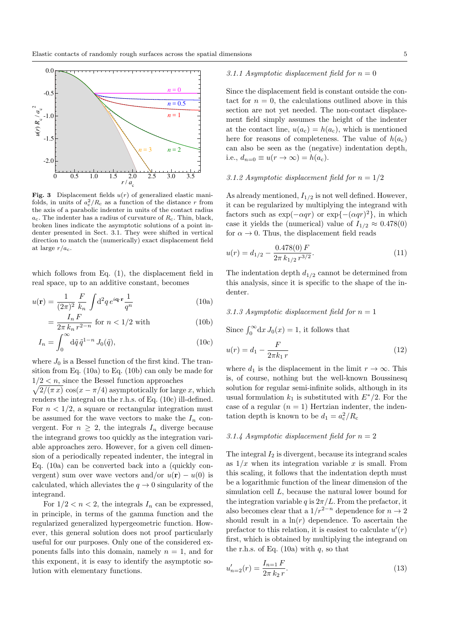

Fig. 3 Displacement fields  $u(r)$  of generalized elastic manifolds, in units of  $a_c^2/R_c$  as a function of the distance r from the axis of a parabolic indenter in units of the contact radius  $a_c$ . The indenter has a radius of curvature of  $R_c$ . Thin, black, broken lines indicate the asymptotic solutions of a point indenter presented in Sect. 3.1. They were shifted in vertical direction to match the (numerically) exact displacement field at large  $r/a_c$ .

which follows from Eq. (1), the displacement field in real space, up to an additive constant, becomes

$$
u(\mathbf{r}) = \frac{1}{(2\pi)^2} \frac{F}{k_n} \int d^2q \, e^{i\mathbf{q} \cdot \mathbf{r}} \frac{1}{q^n}
$$
 (10a)

$$
=\frac{I_n F}{2\pi k_n r^{2-n}} \text{ for } n < 1/2 \text{ with } (10b)
$$

$$
I_n = \int_0^\infty d\tilde{q} \,\tilde{q}^{1-n} J_0(\tilde{q}),\tag{10c}
$$

where  $J_0$  is a Bessel function of the first kind. The transition from Eq. (10a) to Eq. (10b) can only be made for  $1/2 < n$ , since the Bessel function approaches

 $\sqrt{2/(\pi x)} \cos(x - \pi/4)$  asymptotically for large x, which renders the integral on the r.h.s. of Eq. (10c) ill-defined. For  $n < 1/2$ , a square or rectangular integration must be assumed for the wave vectors to make the  $I_n$  convergent. For  $n \geq 2$ , the integrals  $I_n$  diverge because the integrand grows too quickly as the integration variable approaches zero. However, for a given cell dimension of a periodically repeated indenter, the integral in Eq. (10a) can be converted back into a (quickly convergent) sum over wave vectors and/or  $u(\mathbf{r}) - u(0)$  is calculated, which alleviates the  $q \to 0$  singularity of the integrand.

For  $1/2 < n < 2$ , the integrals  $I_n$  can be expressed, in principle, in terms of the gamma function and the regularized generalized hypergeometric function. However, this general solution does not proof particularly useful for our purposes. Only one of the considered exponents falls into this domain, namely  $n = 1$ , and for this exponent, it is easy to identify the asymptotic solution with elementary functions.

# 3.1.1 Asymptotic displacement field for  $n = 0$

Since the displacement field is constant outside the contact for  $n = 0$ , the calculations outlined above in this section are not yet needed. The non-contact displacement field simply assumes the height of the indenter at the contact line,  $u(a_c) = h(a_c)$ , which is mentioned here for reasons of completeness. The value of  $h(a<sub>c</sub>)$ can also be seen as the (negative) indentation depth, i.e.,  $d_{n=0} \equiv u(r \to \infty) = h(a_c)$ .

## 3.1.2 Asymptotic displacement field for  $n = 1/2$

As already mentioned,  $I_{1/2}$  is not well defined. However, it can be regularized by multiplying the integrand with factors such as  $\exp(-\alpha qr)$  or  $\exp(-(\alpha qr)^2)$ , in which case it yields the (numerical) value of  $I_{1/2} \approx 0.478(0)$ for  $\alpha \to 0$ . Thus, the displacement field reads

$$
u(r) = d_{1/2} - \frac{0.478(0) F}{2\pi k_{1/2} r^{3/2}}.
$$
\n(11)

The indentation depth  $d_{1/2}$  cannot be determined from this analysis, since it is specific to the shape of the indenter.

## 3.1.3 Asymptotic displacement field for  $n = 1$

Since  $\int_0^\infty dx J_0(x) = 1$ , it follows that

$$
u(r) = d_1 - \frac{F}{2\pi k_1 r}
$$
\n(12)

where  $d_1$  is the displacement in the limit  $r \to \infty$ . This is, of course, nothing but the well-known Boussinesq solution for regular semi-infinite solids, although in its usual formulation  $k_1$  is substituted with  $E^*/2$ . For the case of a regular  $(n = 1)$  Hertzian indenter, the indentation depth is known to be  $d_1 = a_c^2/R_c$ 

## 3.1.4 Asymptotic displacement field for  $n = 2$

The integral  $I_2$  is divergent, because its integrand scales as  $1/x$  when its integration variable x is small. From this scaling, it follows that the indentation depth must be a logarithmic function of the linear dimension of the simulation cell L, because the natural lower bound for the integration variable q is  $2\pi/L$ . From the prefactor, it also becomes clear that a  $1/r^{2-n}$  dependence for  $n \to 2$ should result in a  $\ln(r)$  dependence. To ascertain the prefactor to this relation, it is easiest to calculate  $u'(r)$ first, which is obtained by multiplying the integrand on the r.h.s. of Eq.  $(10a)$  with q, so that

$$
u'_{n=2}(r) = \frac{I_{n=1} F}{2\pi k_2 r}.
$$
\n(13)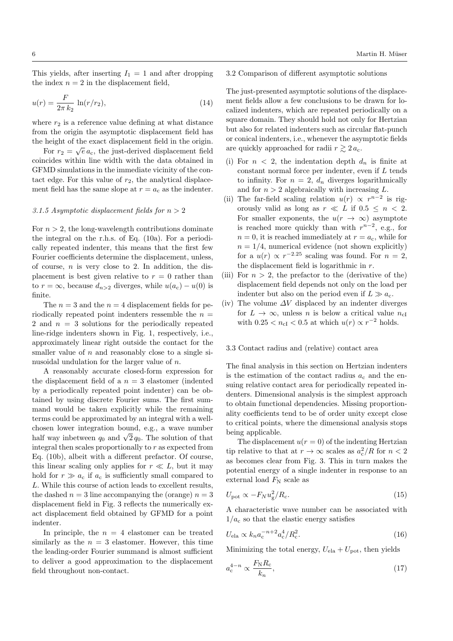This yields, after inserting  $I_1 = 1$  and after dropping the index  $n = 2$  in the displacement field,

$$
u(r) = \frac{F}{2\pi k_2} \ln(r/r_2),\tag{14}
$$

where  $r_2$  is a reference value defining at what distance from the origin the asymptotic displacement field has the height of the exact displacement field in the origin. √

For  $r_2 = \sqrt{e} a_c$ , the just-derived displacement field coincides within line width with the data obtained in GFMD simulations in the immediate vicinity of the contact edge. For this value of  $r_2$ , the analytical displacement field has the same slope at  $r = a_c$  as the indenter.

#### 3.1.5 Asymptotic displacement fields for  $n > 2$

For  $n > 2$ , the long-wavelength contributions dominate the integral on the r.h.s. of Eq. (10a). For a periodically repeated indenter, this means that the first few Fourier coefficients determine the displacement, unless, of course,  $n$  is very close to 2. In addition, the displacement is best given relative to  $r = 0$  rather than to  $r = \infty$ , because  $d_{n>2}$  diverges, while  $u(a_c) - u(0)$  is finite.

The  $n = 3$  and the  $n = 4$  displacement fields for periodically repeated point indenters ressemble the  $n =$ 2 and  $n = 3$  solutions for the periodically repeated line-ridge indenters shown in Fig. 1, respectively, i.e., approximately linear right outside the contact for the smaller value of  $n$  and reasonably close to a single sinusoidal undulation for the larger value of n.

A reasonably accurate closed-form expression for the displacement field of a  $n = 3$  elastomer (indented by a periodically repeated point indenter) can be obtained by using discrete Fourier sums. The first summand would be taken explicitly while the remaining terms could be approximated by an integral with a wellchosen lower integration bound, e.g., a wave number chosen lower integration bound, e.g., a wave number<br>half way inbetween  $q_0$  and  $\sqrt{2} q_0$ . The solution of that integral then scales proportionally to  $r$  as expected from Eq. (10b), albeit with a different prefactor. Of course, this linear scaling only applies for  $r \ll L$ , but it may hold for  $r \gg a_c$  if  $a_c$  is sufficiently small compared to L. While this course of action leads to excellent results, the dashed  $n = 3$  line accompanying the (orange)  $n = 3$ displacement field in Fig. 3 reflects the numerically exact displacement field obtained by GFMD for a point indenter.

In principle, the  $n = 4$  elastomer can be treated similarly as the  $n = 3$  elastomer. However, this time the leading-order Fourier summand is almost sufficient to deliver a good approximation to the displacement field throughout non-contact.

## 3.2 Comparison of different asymptotic solutions

The just-presented asymptotic solutions of the displacement fields allow a few conclusions to be drawn for localized indenters, which are repeated periodically on a square domain. They should hold not only for Hertzian but also for related indenters such as circular flat-punch or conical indenters, i.e., whenever the asymptotic fields are quickly approached for radii  $r \gtrsim 2 a_c$ .

- (i) For  $n < 2$ , the indentation depth  $d_n$  is finite at constant normal force per indenter, even if  $L$  tends to infinity. For  $n = 2$ ,  $d_n$  diverges logarithmically and for  $n > 2$  algebraically with increasing L.
- (ii) The far-field scaling relation  $u(r) \propto r^{n-2}$  is rigorously valid as long as  $r \ll L$  if  $0.5 \leq n \leq 2$ . For smaller exponents, the  $u(r \to \infty)$  asymptote is reached more quickly than with  $r^{n-2}$ , e.g., for  $n = 0$ , it is reached immediately at  $r = a_{c}$ , while for  $n = 1/4$ , numerical evidence (not shown explicitly) for a  $u(r) \propto r^{-2.25}$  scaling was found. For  $n = 2$ , the displacement field is logarithmic in  $r$ .
- (iii) For  $n > 2$ , the prefactor to the (derivative of the) displacement field depends not only on the load per indenter but also on the period even if  $L \gg a_{c}$ .
- (iv) The volume  $\Delta V$  displaced by an indenter diverges for  $L \to \infty$ , unless *n* is below a critical value  $n_{cI}$ with  $0.25 < n_{\text{cl}} < 0.5$  at which  $u(r) \propto r^{-2}$  holds.

## 3.3 Contact radius and (relative) contact area

The final analysis in this section on Hertzian indenters is the estimation of the contact radius  $a_c$  and the ensuing relative contact area for periodically repeated indenters. Dimensional analysis is the simplest approach to obtain functional dependencies. Missing proportionality coefficients tend to be of order unity except close to critical points, where the dimensional analysis stops being applicable.

The displacement  $u(r = 0)$  of the indenting Hertzian tip relative to that at  $r \to \infty$  scales as  $a_c^2/R$  for  $n < 2$ as becomes clear from Fig. 3. This in turn makes the potential energy of a single indenter in response to an external load  $F_N$  scale as

$$
U_{\text{pot}} \propto -F_N u_{\text{g}}^2 / R_c. \tag{15}
$$

A characteristic wave number can be associated with  $1/a<sub>c</sub>$  so that the elastic energy satisfies

$$
U_{\rm ela} \propto k_n a_{\rm c}^{-n+2} a_{\rm c}^4 / R_{\rm c}^2. \tag{16}
$$

Minimizing the total energy,  $U_{\text{ela}} + U_{\text{pot}}$ , then yields

$$
a_{\rm c}^{4-n} \propto \frac{F_{\rm N} R_{\rm c}}{k_n},\tag{17}
$$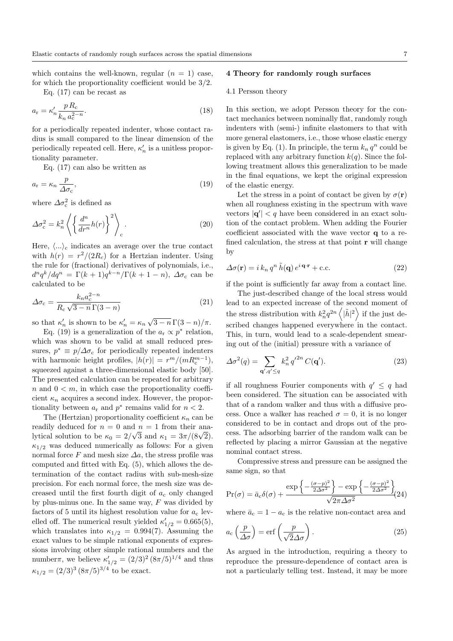which contains the well-known, regular  $(n = 1)$  case, for which the proportionality coefficient would be 3/2.

Eq. (17) can be recast as

$$
a_{\rm r} = \kappa_n' \frac{p R_{\rm c}}{k_n a_{\rm c}^{2-n}}.\tag{18}
$$

for a periodically repeated indenter, whose contact radius is small compared to the linear dimension of the periodically repeated cell. Here,  $\kappa'_n$  is a unitless proportionality parameter.

Eq. (17) can also be written as

$$
a_{\rm r} = \kappa_n \, \frac{p}{\Delta \sigma_{\rm c}},\tag{19}
$$

where  $\Delta \sigma_{\rm c}^2$  is defined as

$$
\Delta \sigma_{\rm c}^2 = k_n^2 \left\langle \left\{ \frac{d^n}{dr^n} h(r) \right\}^2 \right\rangle_{\rm c}.
$$
 (20)

Here,  $\langle \ldots \rangle_c$  indicates an average over the true contact with  $h(r) = r^2/(2R_c)$  for a Hertzian indenter. Using the rule for (fractional) derivatives of polynomials, i.e.,  $d^n q^k / dq^n = \Gamma(k+1)q^{k-n} / \Gamma(k+1-n)$ ,  $\Delta \sigma_c$  can be calculated to be

$$
\Delta \sigma_c = \frac{k_n a_c^{2-n}}{R_c \sqrt{3-n} \Gamma(3-n)}\tag{21}
$$

so that  $\kappa'_n$  is shown to be  $\kappa'_n = \kappa_n \sqrt{3 - n} \Gamma(3 - n) / \pi$ .

Eq. (19) is a generalization of the  $a_r \propto p^*$  relation, which was shown to be valid at small reduced pressures,  $p^* \equiv p/\Delta \sigma_c$  for periodically repeated indenters with harmonic height profiles,  $|h(r)| = r^m/(mR_c^{m-1}),$ squeezed against a three-dimensional elastic body [50]. The presented calculation can be repeated for arbitrary n and  $0 \leq m$ , in which case the proportionality coefficient  $\kappa_n$  acquires a second index. However, the proportionality between  $a_r$  and  $p^*$  remains valid for  $n < 2$ .

The (Hertzian) proportionality coefficient  $\kappa_n$  can be readily deduced for  $n = 0$  and  $n = 1$  from their anareadily deduced for  $n = 0$  and  $n = 1$  from their ana-<br>lytical solution to be  $\kappa_0 = 2/\sqrt{3}$  and  $\kappa_1 = 3\pi/(8\sqrt{2})$ .  $\kappa_{1/2}$  was deduced numerically as follows: For a given normal force F and mesh size  $\Delta a$ , the stress profile was computed and fitted with Eq. (5), which allows the determination of the contact radius with sub-mesh-size precision. For each normal force, the mesh size was decreased until the first fourth digit of  $a_c$  only changed by plus-minus one. In the same way,  $F$  was divided by factors of 5 until its highest resolution value for  $a_c$  levelled off. The numerical result yielded  $\kappa'_{1/2} = 0.665(5)$ , which translates into  $\kappa_{1/2} = 0.994(7)$ . Assuming the exact values to be simple rational exponents of expressions involving other simple rational numbers and the number $\pi$ , we believe  $\kappa'_{1/2} = (2/3)^2 (8\pi/5)^{1/4}$  and thus  $\kappa_{1/2} = (2/3)^3 (8\pi/5)^{3/4}$  to be exact.

## 4 Theory for randomly rough surfaces

#### 4.1 Persson theory

In this section, we adopt Persson theory for the contact mechanics between nominally flat, randomly rough indenters with (semi-) infinite elastomers to that with more general elastomers, i.e., those whose elastic energy is given by Eq. (1). In principle, the term  $k_n q^n$  could be replaced with any arbitrary function  $k(q)$ . Since the following treatment allows this generalization to be made in the final equations, we kept the original expression of the elastic energy.

Let the stress in a point of contact be given by  $\sigma(\mathbf{r})$ when all roughness existing in the spectrum with wave vectors  $|\mathbf{q}'| < q$  have been considered in an exact solution of the contact problem. When adding the Fourier coefficient associated with the wave vector q to a refined calculation, the stress at that point  $\bf{r}$  will change by

$$
\Delta \sigma(\mathbf{r}) = i k_n q^n \tilde{h}(\mathbf{q}) e^{i \mathbf{q} \cdot \mathbf{r}} + \text{c.c.}
$$
\n(22)

if the point is sufficiently far away from a contact line.

The just-described change of the local stress would lead to an expected increase of the second moment of the stress distribution with  $k_n^2 q^{2n} \left\langle |\tilde{h}|^2 \right\rangle$  if the just described changes happened everywhere in the contact. This, in turn, would lead to a scale-dependent smearing out of the (initial) pressure with a variance of

$$
\Delta \sigma^2(q) = \sum_{\mathbf{q}', q' \le q} k_n^2 q'^{2n} C(\mathbf{q}'). \tag{23}
$$

if all roughness Fourier components with  $q' \leq q$  had been considered. The situation can be associated with that of a random walker and thus with a diffusive process. Once a walker has reached  $\sigma = 0$ , it is no longer considered to be in contact and drops out of the process. The adsorbing barrier of the random walk can be reflected by placing a mirror Gaussian at the negative nominal contact stress.

Compressive stress and pressure can be assigned the same sign, so that

$$
Pr(\sigma) = \bar{a}_c \delta(\sigma) + \frac{\exp\left\{-\frac{(\sigma - p)^2}{2\Delta\sigma^2}\right\} - \exp\left\{-\frac{(\sigma - p)^2}{2\Delta\sigma^2}\right\}}{\sqrt{2\pi\Delta\sigma^2}} (24)
$$

where  $\bar{a}_c = 1 - a_c$  is the relative non-contact area and

$$
a_{\rm c}\left(\frac{p}{\Delta\sigma}\right) = \text{erf}\left(\frac{p}{\sqrt{2}\Delta\sigma}\right). \tag{25}
$$

As argued in the introduction, requiring a theory to reproduce the pressure-dependence of contact area is not a particularly telling test. Instead, it may be more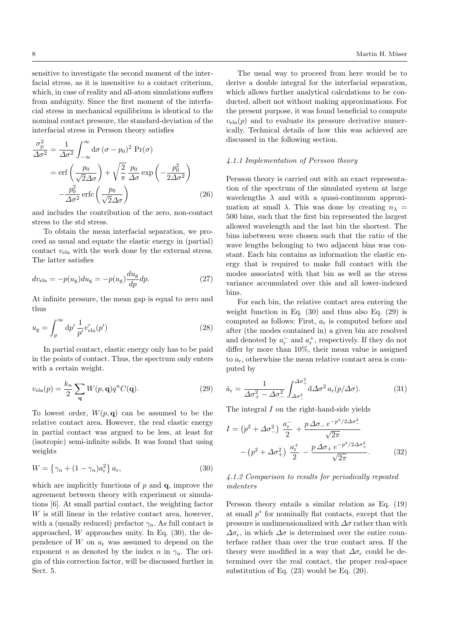sensitive to investigate the second moment of the interfacial stress, as it is insensitive to a contact criterium, which, in case of reality and all-atom simulations suffers from ambiguity. Since the first moment of the interfacial stress in mechanical equilibrium is identical to the nominal contact pressure, the standard-deviation of the interfacial stress in Persson theory satisfies

$$
\frac{\sigma_{\rm p}^2}{\Delta \sigma^2} = \frac{1}{\Delta \sigma^2} \int_{-\infty}^{\infty} d\sigma (\sigma - p_0)^2 \Pr(\sigma)
$$
  
= erf  $\left(\frac{p_0}{\sqrt{2}\Delta \sigma}\right) + \sqrt{\frac{2}{\pi}} \frac{p_0}{\Delta \sigma} \exp\left(-\frac{p_0^2}{2\Delta \sigma^2}\right)$   

$$
-\frac{p_0^2}{\Delta \sigma^2} \operatorname{erfc}\left(\frac{p_0}{\sqrt{2}\Delta \sigma}\right) \tag{26}
$$

and includes the contribution of the zero, non-contact stress to the std stress.

To obtain the mean interfacial separation, we proceed as usual and equate the elastic energy in (partial) contact  $v_{\text{ela}}$  with the work done by the external stress. The latter satisfies

$$
dv_{\text{ela}} = -p(u_{\text{g}})du_{\text{g}} = -p(u_{\text{g}})\frac{du_{\text{g}}}{dp}dp.
$$
\n(27)

At infinite pressure, the mean gap is equal to zero and thus

$$
u_{\rm g} = \int_p^{\infty} \mathrm{d}p' \, \frac{1}{p'} v'_{\rm ela}(p') \tag{28}
$$

In partial contact, elastic energy only has to be paid in the points of contact. Thus, the spectrum only enters with a certain weight.

$$
v_{\text{ela}}(p) = \frac{k_n}{2} \sum_{\mathbf{q}} W(p, \mathbf{q}) q^n C(\mathbf{q}).
$$
 (29)

To lowest order,  $W(p, q)$  can be assumed to be the relative contact area. However, the real elastic energy in partial contact was argued to be less, at least for (isotropic) semi-infinite solids. It was found that using weights

$$
W = \left\{ \gamma_n + (1 - \gamma_n) a_{\rm r}^2 \right\} a_{\rm r},\tag{30}
$$

which are implicitly functions of  $p$  and  $q$ , improve the agreement between theory with experiment or simulations [6]. At small partial contact, the weighting factor W is still linear in the relative contact area, however, with a (usually reduced) prefactor  $\gamma_n$ . As full contact is approached,  $W$  approaches unity. In Eq.  $(30)$ , the dependence of  $W$  on  $a_r$  was assumed to depend on the exponent *n* as denoted by the index *n* in  $\gamma_n$ . The origin of this correction factor, will be discussed further in Sect. 5.

The usual way to proceed from here would be to derive a double integral for the interfacial separation, which allows further analytical calculations to be conducted, albeit not without making approximations. For the present purpose, it was found beneficial to compute  $v_{\text{ela}}(p)$  and to evaluate its pressure derivative numerically. Technical details of how this was achieved are discussed in the following section.

## 4.1.1 Implementation of Persson theory

Persson theory is carried out with an exact representation of the spectrum of the simulated system at large wavelengths  $\lambda$  and with a quasi-continuum approximation at small  $\lambda$ . This was done by creating  $n_{\lambda}$  = 500 bins, such that the first bin represented the largest allowed wavelength and the last bin the shortest. The bins inbetween were chosen such that the ratio of the wave lengths belonging to two adjacent bins was constant. Each bin contains as information the elastic energy that is required to make full contact with the modes associated with that bin as well as the stress variance accumulated over this and all lower-indexed bins.

For each bin, the relative contact area entering the weight function in Eq.  $(30)$  and thus also Eq.  $(29)$  is computed as follows: First,  $a_r$  is computed before and after (the modes contained in) a given bin are resolved and denoted by  $a^-_{\rm r}$  and  $a^+_{\rm r},$  respectively. If they do not differ by more than 10%, their mean value is assigned to  $a_r$ , otherwhise the mean relative contact area is computed by

$$
\bar{a}_{\rm r} = \frac{1}{\Delta \sigma_+^2 - \Delta \sigma_-^2} \int_{\Delta \sigma_-^2}^{\Delta \sigma_+^2} d\Delta \sigma^2 a_{\rm r}(p/\Delta \sigma). \tag{31}
$$

The integral I on the right-hand-side yields

$$
I = (p^{2} + \Delta \sigma_{-}^{2}) \frac{a_{r}^{-}}{2} + \frac{p \Delta \sigma_{-} e^{-p^{2}/2 \Delta \sigma_{-}^{2}}}{\sqrt{2\pi}} - (p^{2} + \Delta \sigma_{+}^{2}) \frac{a_{r}^{+}}{2} - \frac{p \Delta \sigma_{+} e^{-p^{2}/2 \Delta \sigma_{+}^{2}}}{\sqrt{2\pi}}.
$$
 (32)

## 4.1.2 Comparison to results for periodically repeated indenters

Persson theory entails a similar relation as Eq. (19) at small  $p^*$  for nominally flat contacts, except that the pressure is undimensionalized with  $\Delta \sigma$  rather than with  $\Delta\sigma_{\rm c}$ , in which  $\Delta\sigma$  is determined over the entire counterface rather than over the true contact area. If the theory were modified in a way that  $\Delta\sigma_c$  could be determined over the real contact, the proper real-space substitution of Eq. (23) would be Eq. (20).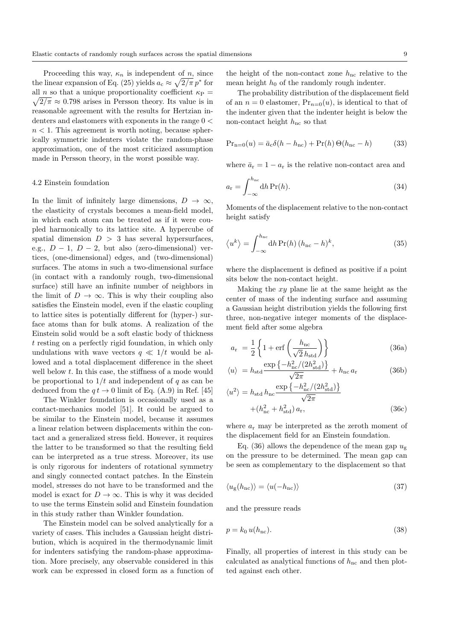Proceeding this way,  $\kappa_n$  is independent of n, since the linear expansion of Eq. (25) yields  $a_c \approx \sqrt{2/\pi} p^*$  for  $\sqrt{2/\pi} \approx 0.798$  arises in Persson theory. Its value is in all n so that a unique proportionality coefficient  $\kappa_P$  = reasonable agreement with the results for Hertzian indenters and elastomers with exponents in the range  $0 <$  $n < 1$ . This agreement is worth noting, because spherically symmetric indenters violate the random-phase approximation, one of the most criticized assumption made in Persson theory, in the worst possible way.

#### 4.2 Einstein foundation

In the limit of infinitely large dimensions,  $D \to \infty$ , the elasticity of crystals becomes a mean-field model, in which each atom can be treated as if it were coupled harmonically to its lattice site. A hypercube of spatial dimension  $D > 3$  has several hypersurfaces, e.g.,  $D-1$ ,  $D-2$ , but also (zero-dimensional) vertices, (one-dimensional) edges, and (two-dimensional) surfaces. The atoms in such a two-dimensional surface (in contact with a randomly rough, two-dimensional surface) still have an infinite number of neighbors in the limit of  $D \to \infty$ . This is why their coupling also satisfies the Einstein model, even if the elastic coupling to lattice sites is potentially different for (hyper-) surface atoms than for bulk atoms. A realization of the Einstein solid would be a soft elastic body of thickness t resting on a perfectly rigid foundation, in which only undulations with wave vectors  $q \ll 1/t$  would be allowed and a total displacement difference in the sheet well below t. In this case, the stiffness of a mode would be proportional to  $1/t$  and independent of q as can be deduced from the  $q t \rightarrow 0$  limit of Eq. (A.9) in Ref. [45]

The Winkler foundation is occasionally used as a contact-mechanics model [51]. It could be argued to be similar to the Einstein model, because it assumes a linear relation between displacements within the contact and a generalized stress field. However, it requires the latter to be transformed so that the resulting field can be interpreted as a true stress. Moreover, its use is only rigorous for indenters of rotational symmetry and singly connected contact patches. In the Einstein model, stresses do not have to be transformed and the model is exact for  $D \to \infty$ . This is why it was decided to use the terms Einstein solid and Einstein foundation in this study rather than Winkler foundation.

The Einstein model can be solved analytically for a variety of cases. This includes a Gaussian height distribution, which is acquired in the thermodynamic limit for indenters satisfying the random-phase approximation. More precisely, any observable considered in this work can be expressed in closed form as a function of the height of the non-contact zone  $h_{\text{nc}}$  relative to the mean height  $h_0$  of the randomly rough indenter.

The probability distribution of the displacement field of an  $n = 0$  elastomer,  $Pr_{n=0}(u)$ , is identical to that of the indenter given that the indenter height is below the non-contact height  $h_{\mathrm{nc}}$  so that

$$
Pr_{n=0}(u) = \bar{a}_c \delta(h - h_{nc}) + Pr(h) \Theta(h_{nc} - h)
$$
 (33)

where  $\bar{a}_r = 1 - a_r$  is the relative non-contact area and

$$
a_{\rm r} = \int_{-\infty}^{h_{\rm nc}} \mathrm{d}h \, \mathrm{Pr}(h). \tag{34}
$$

Moments of the displacement relative to the non-contact height satisfy

$$
\langle u^k \rangle = \int_{-\infty}^{h_{\rm nc}} dh \Pr(h) \left( h_{\rm nc} - h \right)^k, \tag{35}
$$

where the displacement is defined as positive if a point sits below the non-contact height.

Making the  $xy$  plane lie at the same height as the center of mass of the indenting surface and assuming a Gaussian height distribution yields the following first three, non-negative integer moments of the displacement field after some algebra

$$
a_{\rm r} = \frac{1}{2} \left\{ 1 + \text{erf}\left(\frac{h_{\rm nc}}{\sqrt{2} h_{\rm std}}\right) \right\} \tag{36a}
$$

$$
\langle u \rangle = h_{\rm std} \frac{\exp\left\{-h_{\rm nc}^2/(2h_{\rm std}^2)\right\}}{\sqrt{2\pi}} + h_{\rm nc} a_{\rm r}
$$
 (36b)

$$
\langle u^2 \rangle = h_{\text{std}} h_{\text{nc}} \frac{\exp\left\{-h_{\text{nc}}^2/(2h_{\text{std}}^2)\right\}}{\sqrt{2\pi}}
$$

$$
+ (h_{\text{nc}}^2 + h_{\text{std}}^2) a_{\text{r}}, \tag{36c}
$$

where  $a_r$  may be interpreted as the zeroth moment of the displacement field for an Einstein foundation.

Eq. (36) allows the dependence of the mean gap  $u_{\sigma}$ on the pressure to be determined. The mean gap can be seen as complementary to the displacement so that

$$
\langle u_{\rm g}(h_{\rm nc})\rangle = \langle u(-h_{\rm nc})\rangle \tag{37}
$$

and the pressure reads

$$
p = k_0 u(h_{\rm nc}).\tag{38}
$$

Finally, all properties of interest in this study can be calculated as analytical functions of  $h_{nc}$  and then plotted against each other.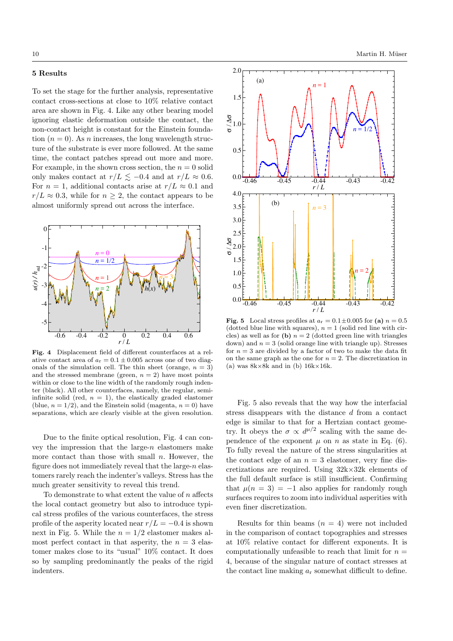### 5 Results

To set the stage for the further analysis, representative contact cross-sections at close to 10% relative contact area are shown in Fig. 4. Like any other bearing model ignoring elastic deformation outside the contact, the non-contact height is constant for the Einstein foundation  $(n = 0)$ . As *n* increases, the long wavelength structure of the substrate is ever more followed. At the same time, the contact patches spread out more and more. For example, in the shown cross section, the  $n = 0$  solid only makes contact at  $r/L \lesssim -0.4$  and at  $r/L \approx 0.6$ . For  $n = 1$ , additional contacts arise at  $r/L \approx 0.1$  and  $r/L \approx 0.3$ , while for  $n \geq 2$ , the contact appears to be almost uniformly spread out across the interface.



Fig. 4 Displacement field of different counterfaces at a relative contact area of  $a_r = 0.1 \pm 0.005$  across one of two diagonals of the simulation cell. The thin sheet (orange,  $n = 3$ ) and the stressed membrane (green,  $n = 2$ ) have most points within or close to the line width of the randomly rough indenter (black). All other counterfaces, namely, the regular, semiinfinite solid (red,  $n = 1$ ), the elastically graded elastomer (blue,  $n = 1/2$ ), and the Einstein solid (magenta,  $n = 0$ ) have separations, which are clearly visible at the given resolution.

Due to the finite optical resolution, Fig. 4 can convey the impression that the large- $n$  elastomers make more contact than those with small  $n$ . However, the figure does not immediately reveal that the large- $n$  elastomers rarely reach the indenter's valleys. Stress has the much greater sensitivity to reveal this trend.

To demonstrate to what extent the value of  $n$  affects the local contact geometry but also to introduce typical stress profiles of the various counterfaces, the stress profile of the asperity located near  $r/L = -0.4$  is shown next in Fig. 5. While the  $n = 1/2$  elastomer makes almost perfect contact in that asperity, the  $n = 3$  elastomer makes close to its "usual" 10% contact. It does so by sampling predominantly the peaks of the rigid indenters.



Fig. 5 Local stress profiles at  $a_r = 0.1 \pm 0.005$  for (a)  $n = 0.5$ (dotted blue line with squares),  $n = 1$  (solid red line with circles) as well as for (b)  $n = 2$  (dotted green line with triangles down) and  $n = 3$  (solid orange line with triangle up). Stresses for  $n = 3$  are divided by a factor of two to make the data fit on the same graph as the one for  $n = 2$ . The discretization in (a) was  $8k \times 8k$  and in (b)  $16k \times 16k$ .

Fig. 5 also reveals that the way how the interfacial stress disappears with the distance d from a contact edge is similar to that for a Hertzian contact geometry. It obeys the  $\sigma \propto d^{\mu/2}$  scaling with the same dependence of the exponent  $\mu$  on n as state in Eq. (6). To fully reveal the nature of the stress singularities at the contact edge of an  $n = 3$  elastomer, very fine discretizations are required. Using  $32k \times 32k$  elements of the full default surface is still insufficient. Confirming that  $\mu(n = 3) = -1$  also applies for randomly rough surfaces requires to zoom into individual asperities with even finer discretization.

Results for thin beams  $(n = 4)$  were not included in the comparison of contact topographies and stresses at 10% relative contact for different exponents. It is computationally unfeasible to reach that limit for  $n =$ 4, because of the singular nature of contact stresses at the contact line making  $a_r$  somewhat difficult to define.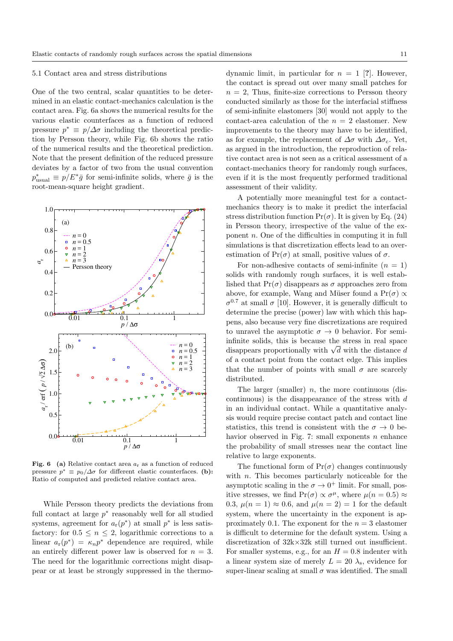#### 5.1 Contact area and stress distributions

One of the two central, scalar quantities to be determined in an elastic contact-mechanics calculation is the contact area. Fig. 6a shows the numerical results for the various elastic counterfaces as a function of reduced pressure  $p^* \equiv p/\Delta \sigma$  including the theoretical prediction by Persson theory, while Fig. 6b shows the ratio of the numerical results and the theoretical prediction. Note that the present definition of the reduced pressure deviates by a factor of two from the usual convention  $p_{\text{usual}}^* \equiv p/E^* \bar{g}$  for semi-infinite solids, where  $\bar{g}$  is the root-mean-square height gradient.



Fig. 6 (a) Relative contact area  $a_r$  as a function of reduced pressure  $p^* \equiv p_0/\Delta\sigma$  for different elastic counterfaces. (b): Ratio of computed and predicted relative contact area.

While Persson theory predicts the deviations from full contact at large  $p^*$  reasonably well for all studied systems, agreement for  $a_r(p^*)$  at small  $p^*$  is less satisfactory: for  $0.5 \leq n \leq 2$ , logarithmic corrections to a linear  $a_r(p^*) = \kappa_n p^*$  dependence are required, while an entirely different power law is observed for  $n = 3$ . The need for the logarithmic corrections might disappear or at least be strongly suppressed in the thermo-

dynamic limit, in particular for  $n = 1$  [?]. However, the contact is spread out over many small patches for  $n = 2$ , Thus, finite-size corrections to Persson theory conducted similarly as those for the interfacial stiffness of semi-infinite elastomers [30] would not apply to the contact-area calculation of the  $n = 2$  elastomer. New improvements to the theory may have to be identified, as for example, the replacement of  $\Delta \sigma$  with  $\Delta \sigma_c$ . Yet, as argued in the introduction, the reproduction of relative contact area is not seen as a critical assessment of a contact-mechanics theory for randomly rough surfaces, even if it is the most frequently performed traditional assessment of their validity.

A potentially more meaningful test for a contactmechanics theory is to make it predict the interfacial stress distribution function  $Pr(\sigma)$ . It is given by Eq. (24) in Persson theory, irrespective of the value of the exponent n. One of the difficulties in computing it in full simulations is that discretization effects lead to an overestimation of  $Pr(\sigma)$  at small, positive values of  $\sigma$ .

For non-adhesive contacts of semi-infinite  $(n = 1)$ solids with randomly rough surfaces, it is well established that  $Pr(\sigma)$  disappears as  $\sigma$  approaches zero from above, for example, Wang and Müser found a  $Pr(\sigma) \propto$  $\sigma^{0.7}$  at small  $\sigma$  [10]. However, it is generally difficult to determine the precise (power) law with which this happens, also because very fine discretizations are required to unravel the asymptotic  $\sigma \to 0$  behavior. For semiinfinite solids, this is because the stress in real space minute solids, this is because the stress in real space<br>disappears proportionally with  $\sqrt{d}$  with the distance d of a contact point from the contact edge. This implies that the number of points with small  $\sigma$  are scarcely distributed.

The larger (smaller)  $n$ , the more continuous (discontinuous) is the disappearance of the stress with  $d$ in an individual contact. While a quantitative analysis would require precise contact patch and contact line statistics, this trend is consistent with the  $\sigma \to 0$  behavior observed in Fig. 7: small exponents  $n$  enhance the probability of small stresses near the contact line relative to large exponents.

The functional form of  $Pr(\sigma)$  changes continuously with  $n$ . This becomes particularly noticeable for the asymptotic scaling in the  $\sigma \to 0^+$  limit. For small, positive stresses, we find  $Pr(\sigma) \propto \sigma^{\mu}$ , where  $\mu(n = 0.5) \approx$ 0.3,  $\mu(n=1) \approx 0.6$ , and  $\mu(n=2) = 1$  for the default system, where the uncertainty in the exponent is approximately 0.1. The exponent for the  $n = 3$  elastomer is difficult to determine for the default system. Using a discretization of 32k×32k still turned out insufficient. For smaller systems, e.g., for an  $H = 0.8$  indenter with a linear system size of merely  $L = 20 \lambda_s$ , evidence for super-linear scaling at small  $\sigma$  was identified. The small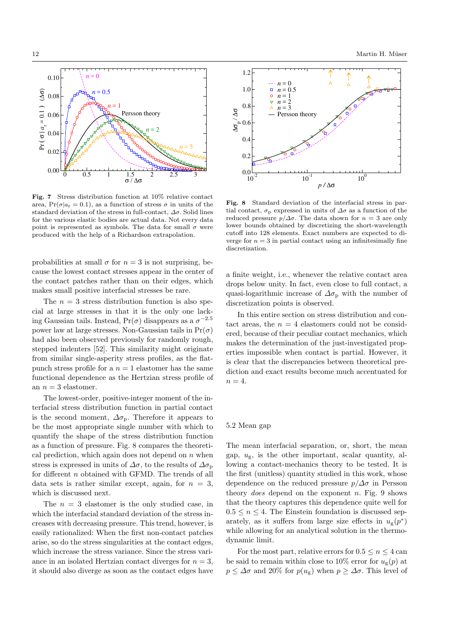

Fig. 7 Stress distribution function at 10% relative contact area,  $Pr(\sigma|a_r = 0.1)$ , as a function of stress  $\sigma$  in units of the standard deviation of the stress in full-contact,  $\Delta \sigma$ . Solid lines for the various elastic bodies are actual data. Not every data point is represented as symbols. The data for small  $\sigma$  were produced with the help of a Richardson extrapolation.

probabilities at small  $\sigma$  for  $n = 3$  is not surprising, because the lowest contact stresses appear in the center of the contact patches rather than on their edges, which makes small positive interfacial stresses be rare.

The  $n = 3$  stress distribution function is also special at large stresses in that it is the only one lacking Gaussian tails. Instead,  $Pr(\sigma)$  disappears as a  $\sigma^{-2.5}$ power law at large stresses. Non-Gaussian tails in  $Pr(\sigma)$ had also been observed previously for randomly rough, stepped indenters [52]. This similarity might originate from similar single-asperity stress profiles, as the flatpunch stress profile for a  $n = 1$  elastomer has the same functional dependence as the Hertzian stress profile of an  $n = 3$  elastomer.

The lowest-order, positive-integer moment of the interfacial stress distribution function in partial contact is the second moment,  $\Delta \sigma_{\rm p}$ . Therefore it appears to be the most appropriate single number with which to quantify the shape of the stress distribution function as a function of pressure. Fig. 8 compares the theoretical prediction, which again does not depend on  $n$  when stress is expressed in units of  $\Delta\sigma$ , to the results of  $\Delta\sigma$ <sub>p</sub> for different n obtained with GFMD. The trends of all data sets is rather similar except, again, for  $n = 3$ , which is discussed next.

The  $n = 3$  elastomer is the only studied case, in which the interfacial standard deviation of the stress increases with decreasing pressure. This trend, however, is easily rationalized: When the first non-contact patches arise, so do the stress singularities at the contact edges, which increase the stress variance. Since the stress variance in an isolated Hertzian contact diverges for  $n = 3$ , it should also diverge as soon as the contact edges have



Fig. 8 Standard deviation of the interfacial stress in partial contact,  $\sigma_p$  expressed in units of  $\Delta\sigma$  as a function of the reduced pressure  $p/\Delta\sigma$ . The data shown for  $n=3$  are only lower bounds obtained by discretizing the short-wavelength cutoff into 128 elements. Exact numbers are expected to diverge for  $n = 3$  in partial contact using an infinitesimally fine discretization.

a finite weight, i.e., whenever the relative contact area drops below unity. In fact, even close to full contact, a quasi-logarithmic increase of  $\Delta\sigma_p$  with the number of discretization points is observed.

In this entire section on stress distribution and contact areas, the  $n = 4$  elastomers could not be considered, because of their peculiar contact mechanics, which makes the determination of the just-investigated properties impossible when contact is partial. However, it is clear that the discrepancies between theoretical prediction and exact results become much accentuated for  $n = 4$ .

## 5.2 Mean gap

The mean interfacial separation, or, short, the mean gap,  $u_{\sigma}$ , is the other important, scalar quantity, allowing a contact-mechanics theory to be tested. It is the first (unitless) quantity studied in this work, whose dependence on the reduced pressure  $p/\Delta\sigma$  in Persson theory *does* depend on the exponent  $n$ . Fig. 9 shows that the theory captures this dependence quite well for  $0.5 \leq n \leq 4$ . The Einstein foundation is discussed separately, as it suffers from large size effects in  $u_{\rm g}(p^*)$ while allowing for an analytical solution in the thermodynamic limit.

For the most part, relative errors for  $0.5 \le n \le 4$  can be said to remain within close to 10% error for  $u_{\mathfrak{g}}(p)$  at  $p \leq \Delta \sigma$  and 20% for  $p(u_g)$  when  $p \geq \Delta \sigma$ . This level of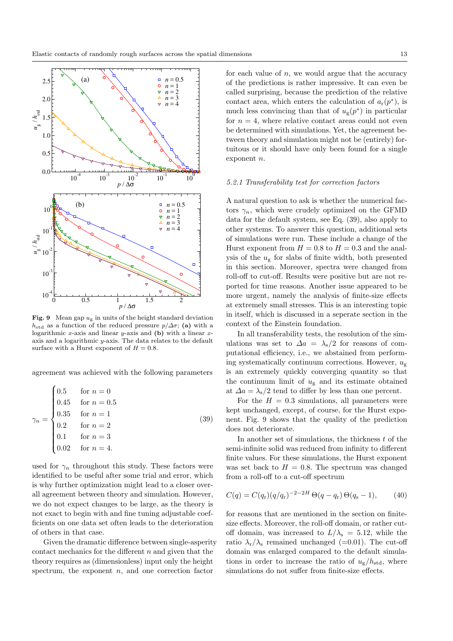

**Fig. 9** Mean gap  $u_g$  in units of the height standard deviation  $h_{\text{std}}$  as a function of the reduced pressure  $p/\Delta\sigma$ ; (a) with a logarithmic x-axis and linear y-axis and  $(b)$  with a linear xaxis and a logarithmic y-axis. The data relates to the default surface with a Hurst exponent of  $H = 0.8$ .

agreement was achieved with the following parameters

$$
\gamma_n = \begin{cases}\n0.5 & \text{for } n = 0 \\
0.45 & \text{for } n = 0.5 \\
0.35 & \text{for } n = 1 \\
0.2 & \text{for } n = 2 \\
0.1 & \text{for } n = 3 \\
0.02 & \text{for } n = 4.\n\end{cases}
$$
\n(39)

used for  $\gamma_n$  throughout this study. These factors were identified to be useful after some trial and error, which is why further optimization might lead to a closer overall agreement between theory and simulation. However, we do not expect changes to be large, as the theory is not exact to begin with and fine tuning adjustable coefficients on one data set often leads to the deterioration of others in that case.

Given the dramatic difference between single-asperity contact mechanics for the different  $n$  and given that the theory requires as (dimensionless) input only the height spectrum, the exponent  $n$ , and one correction factor

for each value of  $n$ , we would argue that the accuracy of the predictions is rather impressive. It can even be called surprising, because the prediction of the relative contact area, which enters the calculation of  $a_r(p^*)$ , is much less convincing than that of  $u_{\rm g}(p^*)$  in particular for  $n = 4$ , where relative contact areas could not even be determined with simulations. Yet, the agreement between theory and simulation might not be (entirely) fortuitous or it should have only been found for a single exponent n.

#### 5.2.1 Transferability test for correction factors

A natural question to ask is whether the numerical factors  $\gamma_n$ , which were crudely optimized on the GFMD data for the default system, see Eq. (39), also apply to other systems. To answer this question, additional sets of simulations were run. These include a change of the Hurst exponent from  $H = 0.8$  to  $H = 0.3$  and the analysis of the  $u_{\rm g}$  for slabs of finite width, both presented in this section. Moreover, spectra were changed from roll-off to cut-off. Results were positive but are not reported for time reasons. Another issue appeared to be more urgent, namely the analysis of finite-size effects at extremely small stresses. This is an interesting topic in itself, which is discussed in a seperate section in the context of the Einstein foundation.

In all transferability tests, the resolution of the simulations was set to  $\Delta a = \lambda_s/2$  for reasons of computational efficiency, i.e., we abstained from performing systematically continuum corrections. However,  $u_{\sigma}$ is an extremely quickly converging quantity so that the continuum limit of  $u_{\mathcal{g}}$  and its estimate obtained at  $\Delta a = \lambda_s/2$  tend to differ by less than one percent.

For the  $H = 0.3$  simulations, all parameters were kept unchanged, except, of course, for the Hurst exponent. Fig. 9 shows that the quality of the prediction does not deteriorate.

In another set of simulations, the thickness  $t$  of the semi-infinite solid was reduced from infinity to different finite values. For these simulations, the Hurst exponent was set back to  $H = 0.8$ . The spectrum was changed from a roll-off to a cut-off spectrum

$$
C(q) = C(q_r)(q/q_r)^{-2-2H} \Theta(q-q_r) \Theta(q_s-1), \qquad (40)
$$

for reasons that are mentioned in the section on finitesize effects. Moreover, the roll-off domain, or rather cutoff domain, was increased to  $L/\lambda_s = 5.12$ , while the ratio  $\lambda_{\rm r}/\lambda_{\rm s}$  remained unchanged (=0.01). The cut-off domain was enlarged compared to the default simulations in order to increase the ratio of  $u_{\rm g}/h_{\rm std}$ , where simulations do not suffer from finite-size effects.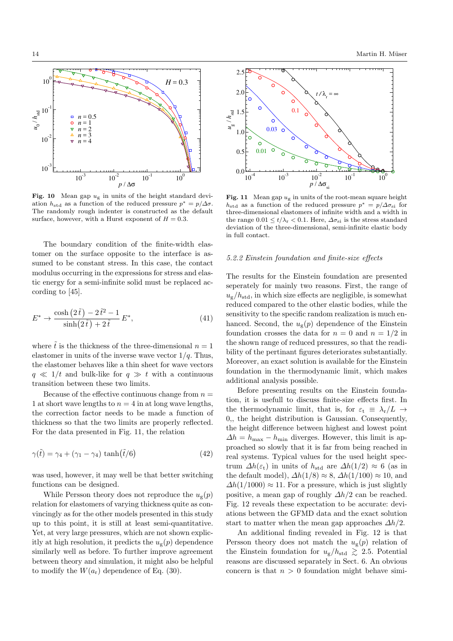

Fig. 10 Mean gap  $u_{\rm g}$  in units of the height standard deviation  $h_{\text{std}}$  as a function of the reduced pressure  $p^* = p/\Delta \sigma$ . The randomly rough indenter is constructed as the default surface, however, with a Hurst exponent of  $H = 0.3$ .

The boundary condition of the finite-width elastomer on the surface opposite to the interface is assumed to be constant stress. In this case, the contact modulus occurring in the expressions for stress and elastic energy for a semi-infinite solid must be replaced according to [45].

$$
E^* \to \frac{\cosh\left(2\,\tilde{t}\,\right) - 2\,\tilde{t}^2 - 1}{\sinh\left(2\,\tilde{t}\,\right) + 2\,\tilde{t}}\,E^*,\tag{41}
$$

where  $\tilde{t}$  is the thickness of the three-dimensional  $n = 1$ elastomer in units of the inverse wave vector  $1/q$ . Thus, the elastomer behaves like a thin sheet for wave vectors  $q \ll 1/t$  and bulk-like for  $q \gg t$  with a continuous transition between these two limits.

Because of the effective continuous change from  $n =$ 1 at short wave lengths to  $n = 4$  in at long wave lengths, the correction factor needs to be made a function of thickness so that the two limits are properly reflected. For the data presented in Fig. 11, the relation

$$
\gamma(\tilde{t}) = \gamma_4 + (\gamma_1 - \gamma_4) \tanh(\tilde{t}/6) \tag{42}
$$

was used, however, it may well be that better switching functions can be designed.

While Persson theory does not reproduce the  $u_{g}(p)$ relation for elastomers of varying thickness quite as convincingly as for the other models presented in this study up to this point, it is still at least semi-quantitative. Yet, at very large pressures, which are not shown explicitly at high resolution, it predicts the  $u_{\mathcal{C}}(p)$  dependence similarly well as before. To further improve agreement between theory and simulation, it might also be helpful to modify the  $W(a_r)$  dependence of Eq. (30).



Fig. 11 Mean gap  $u_{\rm g}$  in units of the root-mean square height  $h_{\text{std}}$  as a function of the reduced pressure  $p^* = p/\Delta \sigma_{\text{si}}$  for three-dimensional elastomers of infinite width and a width in the range  $0.01 \le t/\lambda_{\rm r} < 0.1$ . Here,  $\Delta \sigma_{\rm si}$  is the stress standard deviation of the three-dimensional, semi-infinite elastic body in full contact.

## 5.2.2 Einstein foundation and finite-size effects

The results for the Einstein foundation are presented seperately for mainly two reasons. First, the range of  $u_{\rm g}/h_{\rm std}$ , in which size effects are negligible, is somewhat reduced compared to the other elastic bodies, while the sensitivity to the specific random realization is much enhanced. Second, the  $u_{g}(p)$  dependence of the Einstein foundation crosses the data for  $n = 0$  and  $n = 1/2$  in the shown range of reduced pressures, so that the readibility of the pertinant figures deteriorates substantially. Moreover, an exact solution is available for the Einstein foundation in the thermodynamic limit, which makes additional analysis possible.

Before presenting results on the Einstein foundation, it is usefull to discuss finite-size effects first. In the thermodynamic limit, that is, for  $\varepsilon_t \equiv \lambda_r/L \rightarrow$ 0,, the height distribution is Gaussian. Consequently, the height difference between highest and lowest point  $\Delta h = h_{\text{max}} - h_{\text{min}}$  diverges. However, this limit is approached so slowly that it is far from being reached in real systems. Typical values for the used height spectrum  $\Delta h(\varepsilon_t)$  in units of  $h_{\text{std}}$  are  $\Delta h(1/2) \approx 6$  (as in the default model),  $\Delta h(1/8) \approx 8$ ,  $\Delta h(1/100) \approx 10$ , and  $\Delta h(1/1000) \approx 11$ . For a pressure, which is just slightly positive, a mean gap of roughly  $\Delta h/2$  can be reached. Fig. 12 reveals these expectation to be accurate: deviations between the GFMD data and the exact solution start to matter when the mean gap approaches  $\Delta h/2$ .

An additional finding revealed in Fig. 12 is that Persson theory does not match the  $u_{g}(p)$  relation of the Einstein foundation for  $u_{\rm g}/h_{\rm std} \geq 2.5$ . Potential reasons are discussed separately in Sect. 6. An obvious concern is that  $n > 0$  foundation might behave simi-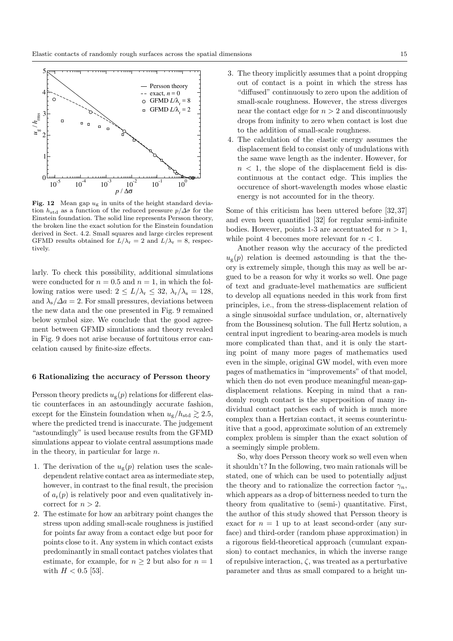

Fig. 12 Mean gap  $u_{\rm g}$  in units of the height standard deviation  $h_{\text{std}}$  as a function of the reduced pressure  $p/\Delta\sigma$  for the Einstein foundation. The solid line represents Persson theory, the broken line the exact solution for the Einstein foundation derived in Sect. 4.2. Small squares and large circles represent GFMD results obtained for  $L/\lambda_r = 2$  and  $L/\lambda_r = 8$ , respectively.

larly. To check this possibility, additional simulations were conducted for  $n = 0.5$  and  $n = 1$ , in which the following ratios were used:  $2 \le L/\lambda_r \le 32$ ,  $\lambda_r/\lambda_s = 128$ , and  $\lambda_{\rm s}/\Delta a = 2$ . For small pressures, deviations between the new data and the one presented in Fig. 9 remained below symbol size. We conclude that the good agreement between GFMD simulations and theory revealed in Fig. 9 does not arise because of fortuitous error cancelation caused by finite-size effects.

# 6 Rationalizing the accuracy of Persson theory

Persson theory predicts  $u_{\rm g}(p)$  relations for different elastic counterfaces in an astoundingly accurate fashion, except for the Einstein foundation when  $u_{\sigma}/h_{\text{std}} \geq 2.5$ , where the predicted trend is inaccurate. The judgement "astoundingly" is used because results from the GFMD simulations appear to violate central assumptions made in the theory, in particular for large  $n$ .

- 1. The derivation of the  $u_{\rm g}(p)$  relation uses the scaledependent relative contact area as intermediate step, however, in contrast to the final result, the precision of  $a_r(p)$  is relatively poor and even qualitatively incorrect for  $n > 2$ .
- 2. The estimate for how an arbitrary point changes the stress upon adding small-scale roughness is justified for points far away from a contact edge but poor for points close to it. Any system in which contact exists predominantly in small contact patches violates that estimate, for example, for  $n \geq 2$  but also for  $n = 1$ with  $H < 0.5$  [53].
- 3. The theory implicitly assumes that a point dropping out of contact is a point in which the stress has "diffused" continuously to zero upon the addition of small-scale roughness. However, the stress diverges near the contact edge for  $n > 2$  and discontinuously drops from infinity to zero when contact is lost due to the addition of small-scale roughness.
- 4. The calculation of the elastic energy assumes the displacement field to consist only of undulations with the same wave length as the indenter. However, for  $n < 1$ , the slope of the displacement field is discontinuous at the contact edge. This implies the occurence of short-wavelength modes whose elastic energy is not accounted for in the theory.

Some of this criticism has been uttered before [32, 37] and even been quantified [32] for regular semi-infinite bodies. However, points 1-3 are accentuated for  $n > 1$ , while point 4 becomes more relevant for  $n < 1$ .

Another reason why the accuracy of the predicted  $u_{\mathcal{G}}(p)$  relation is deemed astounding is that the theory is extremely simple, though this may as well be argued to be a reason for why it works so well. One page of text and graduate-level mathematics are sufficient to develop all equations needed in this work from first principles, i.e., from the stress-displacement relation of a single sinusoidal surface undulation, or, alternatively from the Boussinesq solution. The full Hertz solution, a central input ingredient to bearing-area models is much more complicated than that, and it is only the starting point of many more pages of mathematics used even in the simple, original GW model, with even more pages of mathematics in "improvements" of that model, which then do not even produce meaningful mean-gapdisplacement relations. Keeping in mind that a randomly rough contact is the superposition of many individual contact patches each of which is much more complex than a Hertzian contact, it seems counterintuitive that a good, approximate solution of an extremely complex problem is simpler than the exact solution of a seemingly simple problem.

So, why does Persson theory work so well even when it shouldn't? In the following, two main rationals will be stated, one of which can be used to potentially adjust the theory and to rationalize the correction factor  $\gamma_n$ , which appears as a drop of bitterness needed to turn the theory from qualitative to (semi-) quantitative. First, the author of this study showed that Persson theory is exact for  $n = 1$  up to at least second-order (any surface) and third-order (random phase approximation) in a rigorous field-theoretical approach (cumulant expansion) to contact mechanics, in which the inverse range of repulsive interaction,  $\zeta$ , was treated as a perturbative parameter and thus as small compared to a height un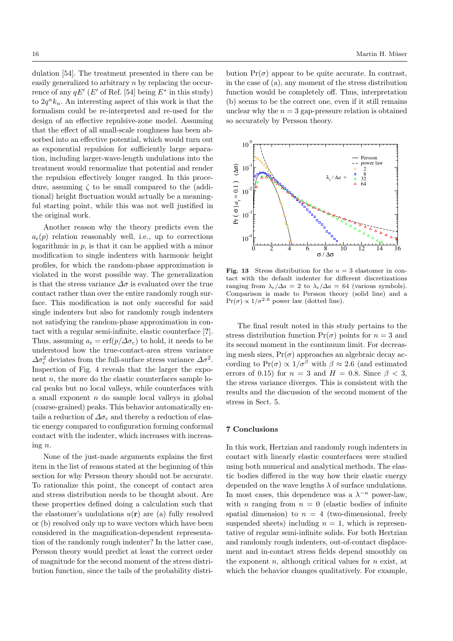dulation [54]. The treatment presented in there can be easily generalized to arbitrary n by replacing the occurrence of any  $qE'$  (E' of Ref. [54] being  $E^*$  in this study) to  $2q^n k_n$ . An interesting aspect of this work is that the formalism could be re-interpreted and re-used for the design of an effective repulsive-zone model. Assuming that the effect of all small-scale roughness has been absorbed into an effective potential, which would turn out as exponential repulsion for sufficiently large separation, including larger-wave-length undulations into the treatment would renormalize that potential and render the repulsion effectively longer ranged. In this procedure, assuming  $\zeta$  to be small compared to the (additional) height fluctuation would actually be a meaningful starting point, while this was not well justified in the original work.

Another reason why the theory predicts even the  $a_r(p)$  relation reasonably well, i.e., up to corrections logarithmic in  $p$ , is that it can be applied with a minor modification to single indenters with harmonic height profiles, for which the random-phase approximation is violated in the worst possible way. The generalization is that the stress variance  $\Delta \sigma$  is evaluated over the true contact rather than over the entire randomly rough surface. This modification is not only succesful for said single indenters but also for randomly rough indenters not satisfying the random-phase approximation in contact with a regular semi-infinite, elastic counterface [?]. Thus, assuming  $a_r = erf(p/\Delta\sigma_c)$  to hold, it needs to be understood how the true-contact-area stress variance  $\Delta \sigma_{\rm c}^2$  deviates from the full-surface stress variance  $\Delta \sigma^2$ . Inspection of Fig. 4 reveals that the larger the exponent  $n$ , the more do the elastic counterfaces sample local peaks but no local valleys, while counterfaces with a small exponent  $n$  do sample local valleys in global (coarse-grained) peaks. This behavior automatically entails a reduction of  $\Delta\sigma_c$  and thereby a reduction of elastic energy compared to configuration forming conformal contact with the indenter, which increases with increasing n.

None of the just-made arguments explains the first item in the list of reasons stated at the beginning of this section for why Persson theory should not be accurate. To rationalize this point, the concept of contact area and stress distribution needs to be thought about. Are these properties defined doing a calculation such that the elastomer's undulations  $u(\mathbf{r})$  are (a) fully resolved or (b) resolved only up to wave vectors which have been considered in the magnification-dependent representation of the randomly rough indenter? In the latter case, Persson theory would predict at least the correct order of magnitude for the second moment of the stress distribution function, since the tails of the probability distribution  $Pr(\sigma)$  appear to be quite accurate. In contrast, in the case of (a), any moment of the stress distribution function would be completely off. Thus, interpretation (b) seems to be the correct one, even if it still remains unclear why the  $n = 3$  gap-pressure relation is obtained so accurately by Persson theory.



Fig. 13 Stress distribution for the  $n = 3$  elastomer in contact with the default indenter for different discretizations ranging from  $\lambda_{\rm r}/\Delta a = 2$  to  $\lambda_{\rm r}/\Delta a = 64$  (various symbols). Comparison is made to Persson theory (solid line) and a  $Pr(\sigma) \propto 1/\sigma^{2.6}$  power law (dotted line).

The final result noted in this study pertains to the stress distribution function  $Pr(\sigma)$  points for  $n = 3$  and its second moment in the continuum limit. For decreasing mesh sizes,  $Pr(\sigma)$  approaches an algebraic decay according to Pr( $\sigma$ )  $\propto 1/\sigma^{\beta}$  with  $\beta \approx 2.6$  (and estimated errors of 0.15) for  $n = 3$  and  $H = 0.8$ . Since  $\beta < 3$ , the stress variance diverges. This is consistent with the results and the discussion of the second moment of the stress in Sect. 5.

## 7 Conclusions

In this work, Hertzian and randomly rough indenters in contact with linearly elastic counterfaces were studied using both numerical and analytical methods. The elastic bodies differed in the way how their elastic energy depended on the wave lengths  $\lambda$  of surface undulations. In most cases, this dependence was a  $\lambda^{-n}$  power-law, with *n* ranging from  $n = 0$  (elastic bodies of infinite spatial dimension) to  $n = 4$  (two-dimensional, freely suspended sheets) including  $n = 1$ , which is representative of regular semi-infinite solids. For both Hertzian and randomly rough indenters, out-of-contact displacement and in-contact stress fields depend smoothly on the exponent  $n$ , although critical values for  $n$  exist, at which the behavior changes qualitatively. For example,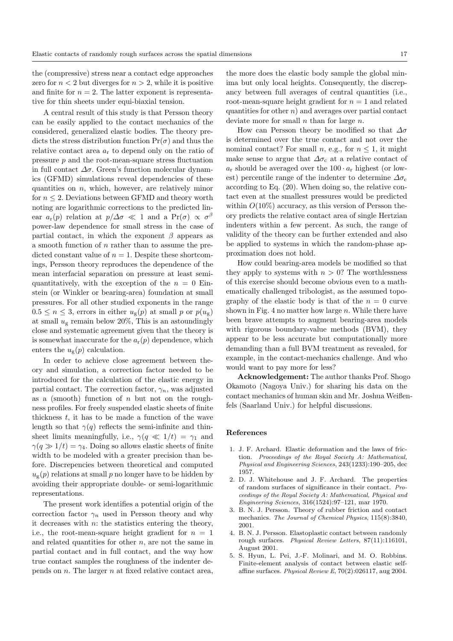the (compressive) stress near a contact edge approaches zero for  $n < 2$  but diverges for  $n > 2$ , while it is positive and finite for  $n = 2$ . The latter exponent is representative for thin sheets under equi-biaxial tension.

A central result of this study is that Persson theory can be easily applied to the contact mechanics of the considered, generalized elastic bodies. The theory predicts the stress distribution function  $Pr(\sigma)$  and thus the relative contact area  $a_r$  to depend only on the ratio of pressure  $p$  and the root-mean-square stress fluctuation in full contact  $\Delta \sigma$ . Green's function molecular dynamics (GFMD) simulations reveal dependencies of these quantities on  $n$ , which, however, are relatively minor for  $n \leq 2$ . Deviations between GFMD and theory worth noting are logarithmic corrections to the predicted linear  $a_r(p)$  relation at  $p/\Delta\sigma \ll 1$  and a  $Pr(\sigma) \propto \sigma^{\beta}$ power-law dependence for small stress in the case of partial contact, in which the exponent  $\beta$  appears as a smooth function of  $n$  rather than to assume the predicted constant value of  $n = 1$ . Despite these shortcomings, Persson theory reproduces the dependence of the mean interfacial separation on pressure at least semiquantitatively, with the exception of the  $n = 0$  Einstein (or Winkler or bearing-area) foundation at small pressures. For all other studied exponents in the range  $0.5 \leq n \leq 3$ , errors in either  $u_{\rm g}(p)$  at small p or  $p(u_{\rm g})$ at small  $u_g$  remain below 20%. This is an astoundingly close and systematic agreement given that the theory is is somewhat inaccurate for the  $a_r(p)$  dependence, which enters the  $u_{\rm g}(p)$  calculation.

In order to achieve close agreement between theory and simulation, a correction factor needed to be introduced for the calculation of the elastic energy in partial contact. The correction factor,  $\gamma_n$ , was adjusted as a (smooth) function of  $n$  but not on the roughness profiles. For freely suspended elastic sheets of finite thickness  $t$ , it has to be made a function of the wave length so that  $\gamma(q)$  reflects the semi-infinite and thinsheet limits meaningfully, i.e.,  $\gamma(q \ll 1/t) = \gamma_1$  and  $\gamma(q \gg 1/t) = \gamma_4$ . Doing so allows elastic sheets of finite width to be modeled with a greater precision than before. Discrepencies between theoretical and computed  $u_{\sigma}(p)$  relations at small p no longer have to be hidden by avoiding their appropriate double- or semi-logarithmic representations.

The present work identifies a potential origin of the correction factor  $\gamma_n$  used in Persson theory and why it decreases with  $n$ : the statistics entering the theory, i.e., the root-mean-square height gradient for  $n = 1$ and related quantities for other  $n$ , are not the same in partial contact and in full contact, and the way how true contact samples the roughness of the indenter depends on  $n$ . The larger  $n$  at fixed relative contact area,

the more does the elastic body sample the global minima but only local heights. Consequently, the discrepancy between full averages of central quantities (i.e., root-mean-square height gradient for  $n = 1$  and related quantities for other  $n$ ) and averages over partial contact deviate more for small  $n$  than for large  $n$ .

How can Persson theory be modified so that  $\Delta \sigma$ is determined over the true contact and not over the nominal contact? For small n, e.g., for  $n \leq 1$ , it might make sense to argue that  $\Delta \sigma_c$  at a relative contact of  $a_r$  should be averaged over the 100  $\cdot a_r$  highest (or lowest) percentile range of the indenter to determine  $\Delta \sigma_c$ according to Eq. (20). When doing so, the relative contact even at the smallest pressures would be predicted within  $O(10\%)$  accuracy, as this version of Persson theory predicts the relative contact area of single Hertzian indenters within a few percent. As such, the range of validity of the theory can be further extended and also be applied to systems in which the random-phase approximation does not hold.

How could bearing-area models be modified so that they apply to systems with  $n > 0$ ? The worthlessness of this exercise should become obvious even to a mathematically challenged tribologist, as the assumed topography of the elastic body is that of the  $n = 0$  curve shown in Fig. 4 no matter how large  $n$ . While there have been brave attempts to augment bearing-area models with rigorous boundary-value methods (BVM), they appear to be less accurate but computationally more demanding than a full BVM treatment as revealed, for example, in the contact-mechanics challenge. And who would want to pay more for less?

Acknowledgement: The author thanks Prof. Shogo Okamoto (Nagoya Univ.) for sharing his data on the contact mechanics of human skin and Mr. Joshua Weißenfels (Saarland Univ.) for helpful discussions.

#### References

- 1. J. F. Archard. Elastic deformation and the laws of friction. Proceedings of the Royal Society A: Mathematical, Physical and Engineering Sciences, 243(1233):190–205, dec 1957.
- 2. D. J. Whitehouse and J. F. Archard. The properties of random surfaces of significance in their contact. Proceedings of the Royal Society A: Mathematical, Physical and Engineering Sciences, 316(1524):97–121, mar 1970.
- 3. B. N. J. Persson. Theory of rubber friction and contact mechanics. The Journal of Chemical Physics, 115(8):3840, 2001.
- 4. B. N. J. Persson. Elastoplastic contact between randomly rough surfaces. Physical Review Letters, 87(11):116101, August 2001.
- 5. S. Hyun, L. Pei, J.-F. Molinari, and M. O. Robbins. Finite-element analysis of contact between elastic selfaffine surfaces. Physical Review E, 70(2):026117, aug 2004.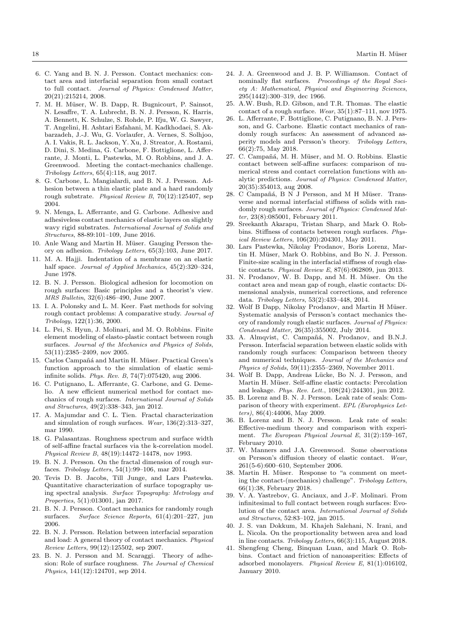- 6. C. Yang and B. N. J. Persson. Contact mechanics: contact area and interfacial separation from small contact to full contact. Journal of Physics: Condensed Matter, 20(21):215214, 2008.
- 7. M. H. Müser, W. B. Dapp, R. Bugnicourt, P. Sainsot, N. Lesaffre, T. A. Lubrecht, B. N. J. Persson, K. Harris, A. Bennett, K. Schulze, S. Rohde, P. Ifju, W. G. Sawyer, T. Angelini, H. Ashtari Esfahani, M. Kadkhodaei, S. Akbarzadeh, J.-J. Wu, G. Vorlaufer, A. Vernes, S. Solhjoo, A. I. Vakis, R. L. Jackson, Y. Xu, J. Streator, A. Rostami, D. Dini, S. Medina, G. Carbone, F. Bottiglione, L. Afferrante, J. Monti, L. Pastewka, M. O. Robbins, and J. A. Greenwood. Meeting the contact-mechanics challenge. Tribology Letters, 65(4):118, aug 2017.
- 8. G. Carbone, L. Mangialardi, and B. N. J. Persson. Adhesion between a thin elastic plate and a hard randomly rough substrate. Physical Review B, 70(12):125407, sep 2004.
- 9. N. Menga, L. Afferrante, and G. Carbone. Adhesive and adhesiveless contact mechanics of elastic layers on slightly wavy rigid substrates. International Journal of Solids and Structures, 88-89:101–109, June 2016.
- 10. Anle Wang and Martin H. Müser. Gauging Persson theory on adhesion. Tribology Letters, 65(3):103, June 2017.
- 11. M. A. Hajji. Indentation of a membrane on an elastic half space. Journal of Applied Mechanics,  $45(2):320-324$ , June 1978.
- 12. B. N. J. Persson. Biological adhesion for locomotion on rough surfaces: Basic principles and a theorist's view. MRS Bulletin, 32(6):486–490, June 2007.
- 13. I. A. Polonsky and L. M. Keer. Fast methods for solving rough contact problems: A comparative study. Journal of Tribology, 122(1):36, 2000.
- 14. L. Pei, S. Hyun, J. Molinari, and M. O. Robbins. Finite element modeling of elasto-plastic contact between rough surfaces. Journal of the Mechanics and Physics of Solids, 53(11):2385–2409, nov 2005.
- 15. Carlos Campañá and Martin H. Müser. Practical Green's function approach to the simulation of elastic semiinfinite solids. Phys. Rev. B, 74(7):075420, aug 2006.
- 16. C. Putignano, L. Afferrante, G. Carbone, and G. Demelio. A new efficient numerical method for contact mechanics of rough surfaces. International Journal of Solids and Structures, 49(2):338–343, jan 2012.
- 17. A. Majumdar and C. L. Tien. Fractal characterization and simulation of rough surfaces. Wear, 136(2):313–327, mar 1990.
- 18. G. Palasantzas. Roughness spectrum and surface width of self-affine fractal surfaces via the k-correlation model. Physical Review B, 48(19):14472–14478, nov 1993.
- 19. B. N. J. Persson. On the fractal dimension of rough surfaces. Tribology Letters, 54(1):99–106, mar 2014.
- 20. Tevis D. B. Jacobs, Till Junge, and Lars Pastewka. Quantitative characterization of surface topography using spectral analysis. Surface Topography: Metrology and Properties, 5(1):013001, jan 2017.
- 21. B. N. J. Persson. Contact mechanics for randomly rough surfaces. Surface Science Reports, 61(4):201–227, jun 2006.
- 22. B. N. J. Persson. Relation between interfacial separation and load: A general theory of contact mechanics. Physical Review Letters, 99(12):125502, sep 2007.
- 23. B. N. J. Persson and M. Scaraggi. Theory of adhesion: Role of surface roughness. The Journal of Chemical Physics, 141(12):124701, sep 2014.
- 24. J. A. Greenwood and J. B. P. Williamson. Contact of nominally flat surfaces. Proceedings of the Royal Society A: Mathematical, Physical and Engineering Sciences, 295(1442):300–319, dec 1966.
- 25. A.W. Bush, R.D. Gibson, and T.R. Thomas. The elastic contact of a rough surface. Wear, 35(1):87–111, nov 1975.
- 26. L. Afferrante, F. Bottiglione, C. Putignano, B. N. J. Persson, and G. Carbone. Elastic contact mechanics of randomly rough surfaces: An assessment of advanced asperity models and Persson's theory. Tribology Letters, 66(2):75, May 2018.
- 27. C. Campañá, M. H. Müser, and M. O. Robbins. Elastic contact between self-affine surfaces: comparison of numerical stress and contact correlation functions with analytic predictions. Journal of Physics: Condensed Matter,  $20(35){:}354013, \,\mathrm{aug}$   $\,2008.$
- 28. C Campañá, B N J Persson, and M H Müser. Transverse and normal interfacial stiffness of solids with randomly rough surfaces. Journal of Physics: Condensed Matter, 23(8):085001, February 2011.
- 29. Sreekanth Akarapu, Tristan Sharp, and Mark O. Robbins. Stiffness of contacts between rough surfaces. Physical Review Letters, 106(20):204301, May 2011.
- 30. Lars Pastewka, Nikolay Prodanov, Boris Lorenz, Martin H. Müser, Mark O. Robbins, and Bo N. J. Persson. Finite-size scaling in the interfacial stiffness of rough elastic contacts. Physical Review E, 87(6):062809, jun 2013.
- 31. N. Prodanov, W. B. Dapp, and M. H. Müser. On the contact area and mean gap of rough, elastic contacts: Dimensional analysis, numerical corrections, and reference data. Tribology Letters, 53(2):433–448, 2014.
- 32. Wolf B Dapp, Nikolay Prodanov, and Martin H Müser. Systematic analysis of Persson's contact mechanics theory of randomly rough elastic surfaces. Journal of Physics: Condensed Matter, 26(35):355002, July 2014.
- 33. A. Almqvist, C. Campañá, N. Prodanov, and B.N.J. Persson. Interfacial separation between elastic solids with randomly rough surfaces: Comparison between theory and numerical techniques. Journal of the Mechanics and Physics of Solids, 59(11):2355–2369, November 2011.
- 34. Wolf B. Dapp, Andreas Lücke, Bo N. J. Persson, and Martin H. Müser. Self-affine elastic contacts: Percolation and leakage. Phys. Rev. Lett., 108(24):244301, jun 2012.
- 35. B. Lorenz and B. N. J. Persson. Leak rate of seals: Comparison of theory with experiment. EPL (Europhysics Letters), 86(4):44006, May 2009.
- 36. B. Lorenz and B. N. J. Persson. Leak rate of seals: Effective-medium theory and comparison with experiment. The European Physical Journal E, 31(2):159–167, February 2010.
- 37. W. Manners and J.A. Greenwood. Some observations on Persson's diffusion theory of elastic contact. Wear, 261(5-6):600–610, September 2006.
- 38. Martin H. Müser. Response to "a comment on meeting the contact-(mechanics) challenge". Tribology Letters, 66(1):38, February 2018.
- 39. V. A. Yastrebov, G. Anciaux, and J.-F. Molinari. From infinitesimal to full contact between rough surfaces: Evolution of the contact area. International Journal of Solids and Structures, 52:83–102, jan 2015.
- 40. J. S. van Dokkum, M. Khajeh Salehani, N. Irani, and L. Nicola. On the proportionality between area and load in line contacts. Tribology Letters, 66(3):115, August 2018.
- 41. Shengfeng Cheng, Binquan Luan, and Mark O. Robbins. Contact and friction of nanoasperities: Effects of adsorbed monolayers. Physical Review E, 81(1):016102, January 2010.